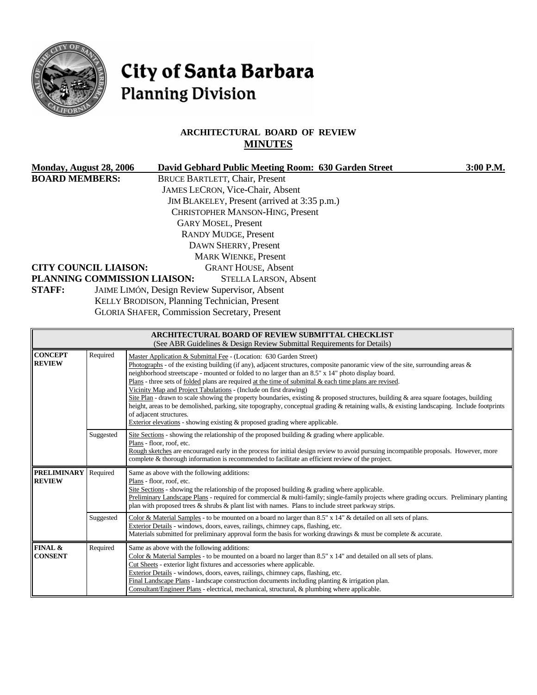

# City of Santa Barbara **Planning Division**

# **ARCHITECTURAL BOARD OF REVIEW MINUTES**

| Monday, August 28, 2006                                                |           | David Gebhard Public Meeting Room: 630 Garden Street<br>3:00 P.M.                                                                                                                                                                                                                                                                                                                                                                                                                                                                                                                                                                                                                                                                                                                                                                                                                                 |  |
|------------------------------------------------------------------------|-----------|---------------------------------------------------------------------------------------------------------------------------------------------------------------------------------------------------------------------------------------------------------------------------------------------------------------------------------------------------------------------------------------------------------------------------------------------------------------------------------------------------------------------------------------------------------------------------------------------------------------------------------------------------------------------------------------------------------------------------------------------------------------------------------------------------------------------------------------------------------------------------------------------------|--|
| <b>BOARD MEMBERS:</b><br><b>CITY COUNCIL LIAISON:</b><br><b>STAFF:</b> |           | <b>BRUCE BARTLETT, Chair, Present</b><br>JAMES LECRON, Vice-Chair, Absent<br>JIM BLAKELEY, Present (arrived at 3:35 p.m.)<br><b>CHRISTOPHER MANSON-HING, Present</b><br><b>GARY MOSEL, Present</b><br><b>RANDY MUDGE, Present</b><br>DAWN SHERRY, Present<br><b>MARK WIENKE, Present</b><br><b>GRANT HOUSE, Absent</b><br>PLANNING COMMISSION LIAISON:<br><b>STELLA LARSON, Absent</b><br>JAIME LIMÓN, Design Review Supervisor, Absent<br>KELLY BRODISON, Planning Technician, Present<br><b>GLORIA SHAFER, Commission Secretary, Present</b>                                                                                                                                                                                                                                                                                                                                                    |  |
|                                                                        |           | <b>ARCHITECTURAL BOARD OF REVIEW SUBMITTAL CHECKLIST</b><br>(See ABR Guidelines & Design Review Submittal Requirements for Details)                                                                                                                                                                                                                                                                                                                                                                                                                                                                                                                                                                                                                                                                                                                                                               |  |
| <b>CONCEPT</b><br><b>REVIEW</b>                                        | Required  | Master Application & Submittal Fee - (Location: 630 Garden Street)<br>Photographs - of the existing building (if any), adjacent structures, composite panoramic view of the site, surrounding areas &<br>neighborhood streetscape - mounted or folded to no larger than an 8.5" x 14" photo display board.<br>Plans - three sets of folded plans are required at the time of submittal $\&$ each time plans are revised.<br>Vicinity Map and Project Tabulations - (Include on first drawing)<br>Site Plan - drawn to scale showing the property boundaries, existing & proposed structures, building & area square footages, building<br>height, areas to be demolished, parking, site topography, conceptual grading & retaining walls, & existing landscaping. Include footprints<br>of adjacent structures.<br>Exterior elevations - showing existing $\&$ proposed grading where applicable. |  |
|                                                                        | Suggested | Site Sections - showing the relationship of the proposed building & grading where applicable.<br>Plans - floor, roof, etc.<br>Rough sketches are encouraged early in the process for initial design review to avoid pursuing incompatible proposals. However, more<br>complete $\&$ thorough information is recommended to facilitate an efficient review of the project.                                                                                                                                                                                                                                                                                                                                                                                                                                                                                                                         |  |
| <b>PRELIMINARY</b><br><b>REVIEW</b>                                    | Required  | Same as above with the following additions:<br>Plans - floor, roof, etc.<br>Site Sections - showing the relationship of the proposed building & grading where applicable.<br>Preliminary Landscape Plans - required for commercial & multi-family; single-family projects where grading occurs. Preliminary planting<br>plan with proposed trees $\&$ shrubs $\&$ plant list with names. Plans to include street parkway strips.                                                                                                                                                                                                                                                                                                                                                                                                                                                                  |  |
|                                                                        | Suggested | Color & Material Samples - to be mounted on a board no larger than $8.5" \times 14"$ & detailed on all sets of plans.<br>Exterior Details - windows, doors, eaves, railings, chimney caps, flashing, etc.<br>Materials submitted for preliminary approval form the basis for working drawings & must be complete & accurate.                                                                                                                                                                                                                                                                                                                                                                                                                                                                                                                                                                      |  |
| FINAL &<br><b>CONSENT</b>                                              | Required  | Same as above with the following additions:<br>Color & Material Samples - to be mounted on a board no larger than 8.5" x 14" and detailed on all sets of plans.<br>Cut Sheets - exterior light fixtures and accessories where applicable.<br>Exterior Details - windows, doors, eaves, railings, chimney caps, flashing, etc.<br>Final Landscape Plans - landscape construction documents including planting & irrigation plan.<br>Consultant/Engineer Plans - electrical, mechanical, structural, & plumbing where applicable.                                                                                                                                                                                                                                                                                                                                                                   |  |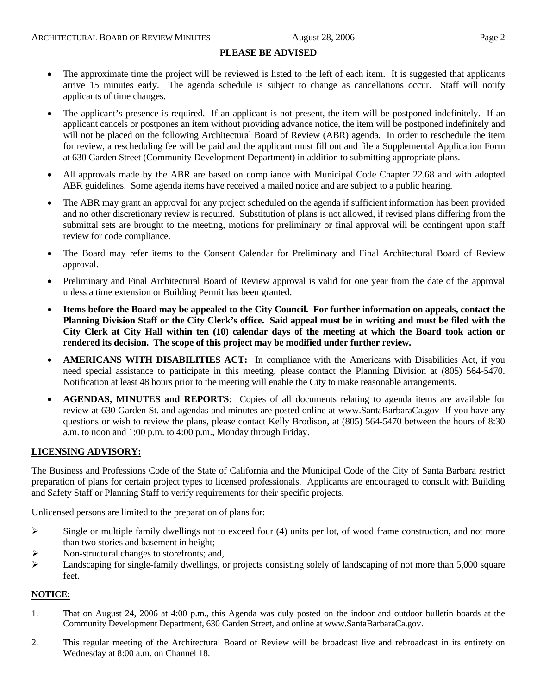#### **PLEASE BE ADVISED**

- The approximate time the project will be reviewed is listed to the left of each item. It is suggested that applicants arrive 15 minutes early. The agenda schedule is subject to change as cancellations occur. Staff will notify applicants of time changes.
- The applicant's presence is required. If an applicant is not present, the item will be postponed indefinitely. If an applicant cancels or postpones an item without providing advance notice, the item will be postponed indefinitely and will not be placed on the following Architectural Board of Review (ABR) agenda. In order to reschedule the item for review, a rescheduling fee will be paid and the applicant must fill out and file a Supplemental Application Form at 630 Garden Street (Community Development Department) in addition to submitting appropriate plans.
- All approvals made by the ABR are based on compliance with Municipal Code Chapter 22.68 and with adopted ABR guidelines. Some agenda items have received a mailed notice and are subject to a public hearing.
- The ABR may grant an approval for any project scheduled on the agenda if sufficient information has been provided and no other discretionary review is required. Substitution of plans is not allowed, if revised plans differing from the submittal sets are brought to the meeting, motions for preliminary or final approval will be contingent upon staff review for code compliance.
- The Board may refer items to the Consent Calendar for Preliminary and Final Architectural Board of Review approval.
- Preliminary and Final Architectural Board of Review approval is valid for one year from the date of the approval unless a time extension or Building Permit has been granted.
- **Items before the Board may be appealed to the City Council. For further information on appeals, contact the Planning Division Staff or the City Clerk's office. Said appeal must be in writing and must be filed with the City Clerk at City Hall within ten (10) calendar days of the meeting at which the Board took action or rendered its decision. The scope of this project may be modified under further review.**
- **AMERICANS WITH DISABILITIES ACT:** In compliance with the Americans with Disabilities Act, if you need special assistance to participate in this meeting, please contact the Planning Division at (805) 564-5470. Notification at least 48 hours prior to the meeting will enable the City to make reasonable arrangements.
- **AGENDAS, MINUTES and REPORTS**: Copies of all documents relating to agenda items are available for review at 630 Garden St. and agendas and minutes are posted online at [www.SantaBarbaraCa.gov](http://www.santabarbaraca.gov/) If you have any questions or wish to review the plans, please contact Kelly Brodison, at (805) 564-5470 between the hours of 8:30 a.m. to noon and 1:00 p.m. to 4:00 p.m., Monday through Friday.

# **LICENSING ADVISORY:**

The Business and Professions Code of the State of California and the Municipal Code of the City of Santa Barbara restrict preparation of plans for certain project types to licensed professionals. Applicants are encouraged to consult with Building and Safety Staff or Planning Staff to verify requirements for their specific projects.

Unlicensed persons are limited to the preparation of plans for:

- $\triangleright$  Single or multiple family dwellings not to exceed four (4) units per lot, of wood frame construction, and not more than two stories and basement in height;
- ¾ Non-structural changes to storefronts; and,
- ¾ Landscaping for single-family dwellings, or projects consisting solely of landscaping of not more than 5,000 square feet.

#### **NOTICE:**

- 1. That on August 24, 2006 at 4:00 p.m., this Agenda was duly posted on the indoor and outdoor bulletin boards at the Community Development Department, 630 Garden Street, and online at www.SantaBarbaraCa.gov.
- 2. This regular meeting of the Architectural Board of Review will be broadcast live and rebroadcast in its entirety on Wednesday at 8:00 a.m. on Channel 18.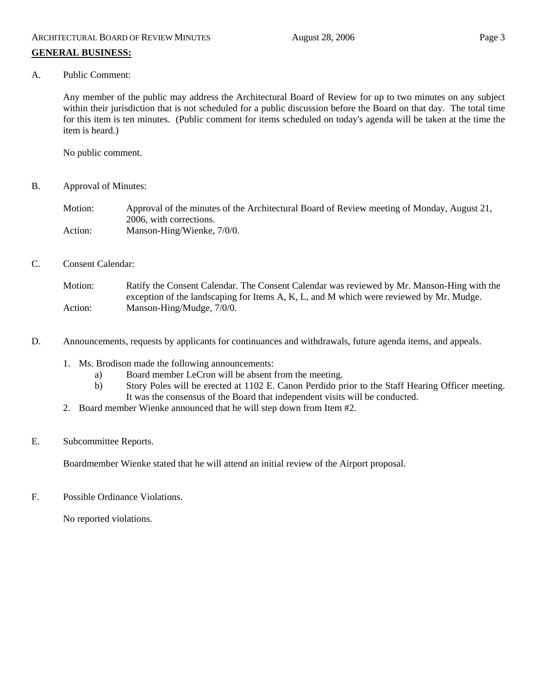#### A. Public Comment:

Any member of the public may address the Architectural Board of Review for up to two minutes on any subject within their jurisdiction that is not scheduled for a public discussion before the Board on that day. The total time for this item is ten minutes. (Public comment for items scheduled on today's agenda will be taken at the time the item is heard.)

No public comment.

B. Approval of Minutes:

Motion: Approval of the minutes of the Architectural Board of Review meeting of Monday, August 21, 2006, with corrections. Action: Manson-Hing/Wienke, 7/0/0.

#### C. Consent Calendar:

| Motion: | Ratify the Consent Calendar. The Consent Calendar was reviewed by Mr. Manson-Hing with the |
|---------|--------------------------------------------------------------------------------------------|
|         | exception of the landscaping for Items A, K, L, and M which were reviewed by Mr. Mudge.    |
| Action: | Manson-Hing/Mudge, 7/0/0.                                                                  |

- D. Announcements, requests by applicants for continuances and withdrawals, future agenda items, and appeals.
	- 1. Ms. Brodison made the following announcements:
		- a) Board member LeCron will be absent from the meeting.
		- b) Story Poles will be erected at 1102 E. Canon Perdido prior to the Staff Hearing Officer meeting. It was the consensus of the Board that independent visits will be conducted.
	- 2. Board member Wienke announced that he will step down from Item #2.
- E. Subcommittee Reports.

Boardmember Wienke stated that he will attend an initial review of the Airport proposal.

F. Possible Ordinance Violations.

No reported violations.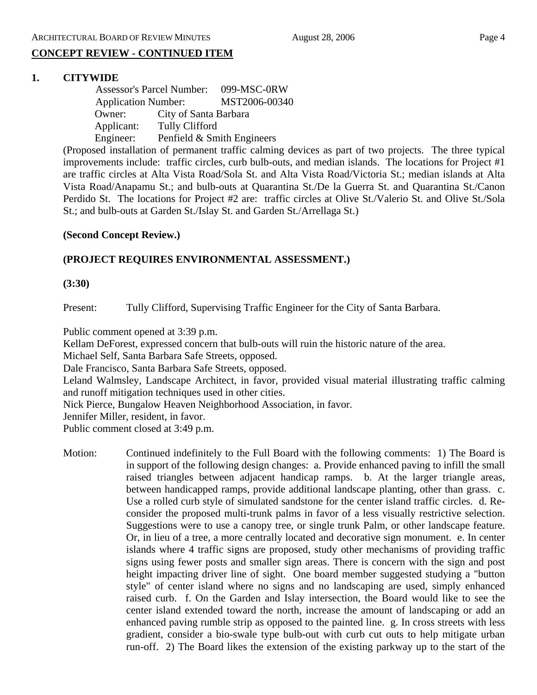# **CONCEPT REVIEW - CONTINUED ITEM**

# **1. CITYWIDE**

 Assessor's Parcel Number: 099-MSC-0RW Application Number: MST2006-00340 Owner: City of Santa Barbara Applicant: Tully Clifford Engineer: Penfield & Smith Engineers

(Proposed installation of permanent traffic calming devices as part of two projects. The three typical improvements include: traffic circles, curb bulb-outs, and median islands. The locations for Project #1 are traffic circles at Alta Vista Road/Sola St. and Alta Vista Road/Victoria St.; median islands at Alta Vista Road/Anapamu St.; and bulb-outs at Quarantina St./De la Guerra St. and Quarantina St./Canon Perdido St. The locations for Project #2 are: traffic circles at Olive St./Valerio St. and Olive St./Sola St.; and bulb-outs at Garden St./Islay St. and Garden St./Arrellaga St.)

#### **(Second Concept Review.)**

# **(PROJECT REQUIRES ENVIRONMENTAL ASSESSMENT.)**

#### **(3:30)**

Present: Tully Clifford, Supervising Traffic Engineer for the City of Santa Barbara.

Public comment opened at 3:39 p.m.

Kellam DeForest, expressed concern that bulb-outs will ruin the historic nature of the area.

Michael Self, Santa Barbara Safe Streets, opposed.

Dale Francisco, Santa Barbara Safe Streets, opposed.

Leland Walmsley, Landscape Architect, in favor, provided visual material illustrating traffic calming and runoff mitigation techniques used in other cities.

Nick Pierce, Bungalow Heaven Neighborhood Association, in favor.

Jennifer Miller, resident, in favor.

Public comment closed at 3:49 p.m.

Motion: Continued indefinitely to the Full Board with the following comments: 1) The Board is in support of the following design changes: a. Provide enhanced paving to infill the small raised triangles between adjacent handicap ramps. b. At the larger triangle areas, between handicapped ramps, provide additional landscape planting, other than grass. c. Use a rolled curb style of simulated sandstone for the center island traffic circles. d. Reconsider the proposed multi-trunk palms in favor of a less visually restrictive selection. Suggestions were to use a canopy tree, or single trunk Palm, or other landscape feature. Or, in lieu of a tree, a more centrally located and decorative sign monument. e. In center islands where 4 traffic signs are proposed, study other mechanisms of providing traffic signs using fewer posts and smaller sign areas. There is concern with the sign and post height impacting driver line of sight. One board member suggested studying a "button style" of center island where no signs and no landscaping are used, simply enhanced raised curb. f. On the Garden and Islay intersection, the Board would like to see the center island extended toward the north, increase the amount of landscaping or add an enhanced paving rumble strip as opposed to the painted line. g. In cross streets with less gradient, consider a bio-swale type bulb-out with curb cut outs to help mitigate urban run-off. 2) The Board likes the extension of the existing parkway up to the start of the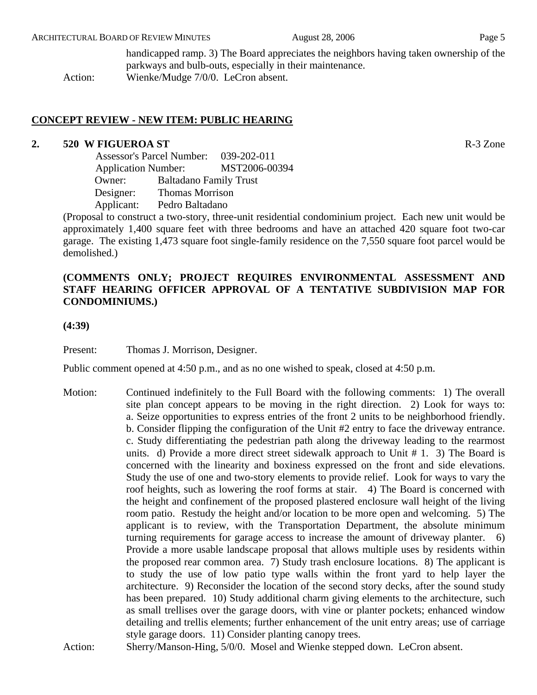handicapped ramp. 3) The Board appreciates the neighbors having taken ownership of the parkways and bulb-outs, especially in their maintenance. Action: Wienke/Mudge 7/0/0. LeCron absent.

# **CONCEPT REVIEW - NEW ITEM: PUBLIC HEARING**

#### **2. 520 W FIGUEROA ST** R-3 Zone

|            | <b>Assessor's Parcel Number:</b> |  |
|------------|----------------------------------|--|
|            | <b>Application Number:</b>       |  |
| Owner:     | <b>Baltadano Family Trust</b>    |  |
| Designer:  | <b>Thomas Morrison</b>           |  |
| Applicant: | Pedro Baltadano                  |  |

(Proposal to construct a two-story, three-unit residential condominium project. Each new unit would be approximately 1,400 square feet with three bedrooms and have an attached 420 square foot two-car garage. The existing 1,473 square foot single-family residence on the 7,550 square foot parcel would be demolished.)

# **(COMMENTS ONLY; PROJECT REQUIRES ENVIRONMENTAL ASSESSMENT AND STAFF HEARING OFFICER APPROVAL OF A TENTATIVE SUBDIVISION MAP FOR CONDOMINIUMS.)**

**(4:39)**

Present: Thomas J. Morrison, Designer.

Public comment opened at 4:50 p.m., and as no one wished to speak, closed at 4:50 p.m.

Motion: Continued indefinitely to the Full Board with the following comments: 1) The overall site plan concept appears to be moving in the right direction. 2) Look for ways to: a. Seize opportunities to express entries of the front 2 units to be neighborhood friendly. b. Consider flipping the configuration of the Unit #2 entry to face the driveway entrance. c. Study differentiating the pedestrian path along the driveway leading to the rearmost units. d) Provide a more direct street sidewalk approach to Unit  $# 1$ . 3) The Board is concerned with the linearity and boxiness expressed on the front and side elevations. Study the use of one and two-story elements to provide relief. Look for ways to vary the roof heights, such as lowering the roof forms at stair. 4) The Board is concerned with the height and confinement of the proposed plastered enclosure wall height of the living room patio. Restudy the height and/or location to be more open and welcoming. 5) The applicant is to review, with the Transportation Department, the absolute minimum turning requirements for garage access to increase the amount of driveway planter. 6) Provide a more usable landscape proposal that allows multiple uses by residents within the proposed rear common area. 7) Study trash enclosure locations. 8) The applicant is to study the use of low patio type walls within the front yard to help layer the architecture. 9) Reconsider the location of the second story decks, after the sound study has been prepared. 10) Study additional charm giving elements to the architecture, such as small trellises over the garage doors, with vine or planter pockets; enhanced window detailing and trellis elements; further enhancement of the unit entry areas; use of carriage style garage doors. 11) Consider planting canopy trees.

Action: Sherry/Manson-Hing, 5/0/0. Mosel and Wienke stepped down. LeCron absent.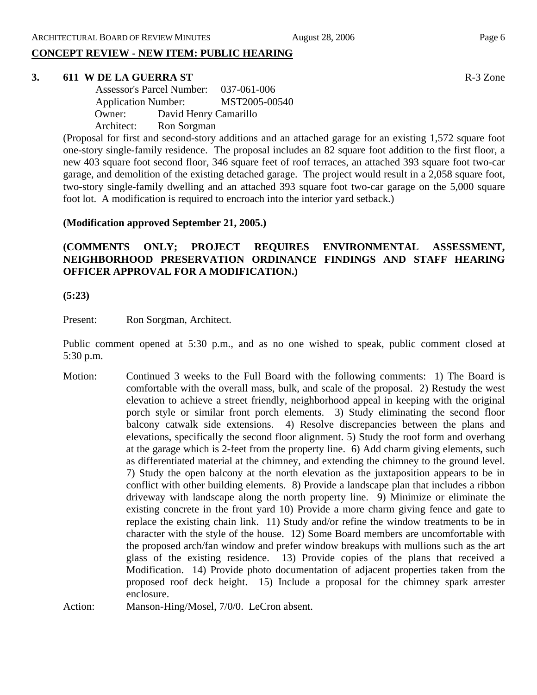# **CONCEPT REVIEW - NEW ITEM: PUBLIC HEARING**

#### **3. 611 W DE LA GUERRA ST** R-3 Zone

|            | <b>Assessor's Parcel Number:</b> |  |
|------------|----------------------------------|--|
|            | <b>Application Number:</b>       |  |
| Owner:     | David Henry Camarillo            |  |
| Architect: | Ron Sorgman                      |  |

(Proposal for first and second-story additions and an attached garage for an existing 1,572 square foot one-story single-family residence. The proposal includes an 82 square foot addition to the first floor, a new 403 square foot second floor, 346 square feet of roof terraces, an attached 393 square foot two-car garage, and demolition of the existing detached garage. The project would result in a 2,058 square foot, two-story single-family dwelling and an attached 393 square foot two-car garage on the 5,000 square foot lot. A modification is required to encroach into the interior yard setback.)

#### **(Modification approved September 21, 2005.)**

# **(COMMENTS ONLY; PROJECT REQUIRES ENVIRONMENTAL ASSESSMENT, NEIGHBORHOOD PRESERVATION ORDINANCE FINDINGS AND STAFF HEARING OFFICER APPROVAL FOR A MODIFICATION.)**

**(5:23)**

Present: Ron Sorgman, Architect.

Public comment opened at 5:30 p.m., and as no one wished to speak, public comment closed at 5:30 p.m.

Motion: Continued 3 weeks to the Full Board with the following comments: 1) The Board is comfortable with the overall mass, bulk, and scale of the proposal. 2) Restudy the west elevation to achieve a street friendly, neighborhood appeal in keeping with the original porch style or similar front porch elements. 3) Study eliminating the second floor balcony catwalk side extensions. 4) Resolve discrepancies between the plans and elevations, specifically the second floor alignment. 5) Study the roof form and overhang at the garage which is 2-feet from the property line. 6) Add charm giving elements, such as differentiated material at the chimney, and extending the chimney to the ground level. 7) Study the open balcony at the north elevation as the juxtaposition appears to be in conflict with other building elements. 8) Provide a landscape plan that includes a ribbon driveway with landscape along the north property line. 9) Minimize or eliminate the existing concrete in the front yard 10) Provide a more charm giving fence and gate to replace the existing chain link. 11) Study and/or refine the window treatments to be in character with the style of the house. 12) Some Board members are uncomfortable with the proposed arch/fan window and prefer window breakups with mullions such as the art glass of the existing residence. 13) Provide copies of the plans that received a Modification. 14) Provide photo documentation of adjacent properties taken from the proposed roof deck height. 15) Include a proposal for the chimney spark arrester enclosure.

Action: Manson-Hing/Mosel, 7/0/0. LeCron absent.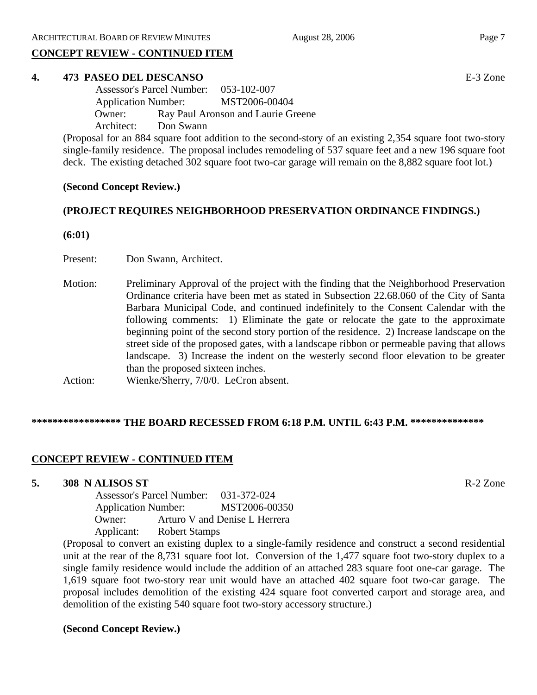# **CONCEPT REVIEW - CONTINUED ITEM**

#### **4. 473 PASEO DEL DESCANSO** E-3 Zone

 Assessor's Parcel Number: 053-102-007 Application Number: MST2006-00404 Owner: Ray Paul Aronson and Laurie Greene Architect: Don Swann

(Proposal for an 884 square foot addition to the second-story of an existing 2,354 square foot two-story single-family residence. The proposal includes remodeling of 537 square feet and a new 196 square foot deck. The existing detached 302 square foot two-car garage will remain on the 8,882 square foot lot.)

# **(Second Concept Review.)**

# **(PROJECT REQUIRES NEIGHBORHOOD PRESERVATION ORDINANCE FINDINGS.)**

**(6:01)**

Present: Don Swann, Architect.

Motion: Preliminary Approval of the project with the finding that the Neighborhood Preservation Ordinance criteria have been met as stated in Subsection 22.68.060 of the City of Santa Barbara Municipal Code, and continued indefinitely to the Consent Calendar with the following comments: 1) Eliminate the gate or relocate the gate to the approximate beginning point of the second story portion of the residence. 2) Increase landscape on the street side of the proposed gates, with a landscape ribbon or permeable paving that allows landscape. 3) Increase the indent on the westerly second floor elevation to be greater than the proposed sixteen inches.

Action: Wienke/Sherry, 7/0/0. LeCron absent.

# **\*\*\*\*\*\*\*\*\*\*\*\*\*\*\*\*\* THE BOARD RECESSED FROM 6:18 P.M. UNTIL 6:43 P.M. \*\*\*\*\*\*\*\*\*\*\*\*\*\***

# **CONCEPT REVIEW - CONTINUED ITEM**

#### **5. 308 N ALISOS ST** R-2 Zone

 Assessor's Parcel Number: 031-372-024 Application Number: MST2006-00350 Owner: Arturo V and Denise L Herrera Applicant: Robert Stamps

(Proposal to convert an existing duplex to a single-family residence and construct a second residential unit at the rear of the 8,731 square foot lot. Conversion of the 1,477 square foot two-story duplex to a single family residence would include the addition of an attached 283 square foot one-car garage. The 1,619 square foot two-story rear unit would have an attached 402 square foot two-car garage. The proposal includes demolition of the existing 424 square foot converted carport and storage area, and demolition of the existing 540 square foot two-story accessory structure.)

#### **(Second Concept Review.)**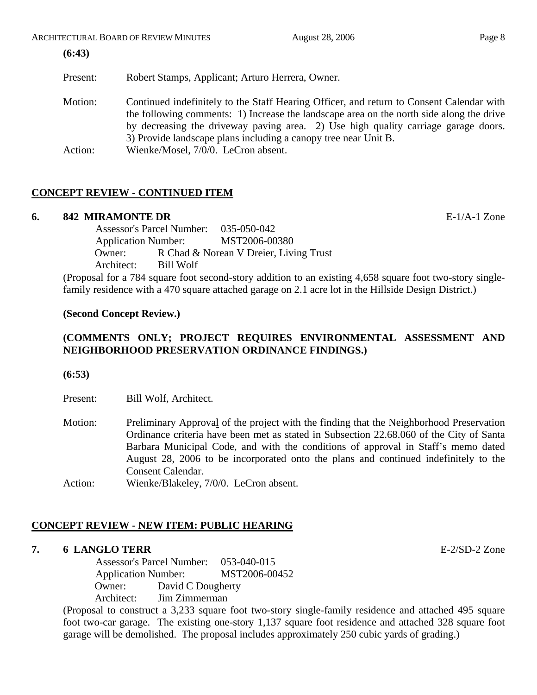|--|

Present: Robert Stamps, Applicant; Arturo Herrera, Owner.

Motion: Continued indefinitely to the Staff Hearing Officer, and return to Consent Calendar with the following comments: 1) Increase the landscape area on the north side along the drive by decreasing the driveway paving area. 2) Use high quality carriage garage doors. 3) Provide landscape plans including a canopy tree near Unit B. Action: Wienke/Mosel, 7/0/0. LeCron absent.

# **CONCEPT REVIEW - CONTINUED ITEM**

# **6. 842 MIRAMONTE DR** E-1/A-1 Zone

 Assessor's Parcel Number: 035-050-042 Application Number: MST2006-00380 Owner: R Chad & Norean V Dreier, Living Trust Architect: Bill Wolf

(Proposal for a 784 square foot second-story addition to an existing 4,658 square foot two-story singlefamily residence with a 470 square attached garage on 2.1 acre lot in the Hillside Design District.)

#### **(Second Concept Review.)**

# **(COMMENTS ONLY; PROJECT REQUIRES ENVIRONMENTAL ASSESSMENT AND NEIGHBORHOOD PRESERVATION ORDINANCE FINDINGS.)**

#### **(6:53)**

Present: Bill Wolf, Architect.

- Motion: Preliminary Approval of the project with the finding that the Neighborhood Preservation Ordinance criteria have been met as stated in Subsection 22.68.060 of the City of Santa Barbara Municipal Code, and with the conditions of approval in Staff's memo dated August 28, 2006 to be incorporated onto the plans and continued indefinitely to the Consent Calendar.
- Action: Wienke/Blakeley, 7/0/0. LeCron absent.

# **CONCEPT REVIEW - NEW ITEM: PUBLIC HEARING**

# **7. 6 LANGLO TERR** E-2/SD-2 Zone

 Assessor's Parcel Number: 053-040-015 Application Number: MST2006-00452 Owner: David C Dougherty Architect: Jim Zimmerman

(Proposal to construct a 3,233 square foot two-story single-family residence and attached 495 square foot two-car garage. The existing one-story 1,137 square foot residence and attached 328 square foot garage will be demolished. The proposal includes approximately 250 cubic yards of grading.)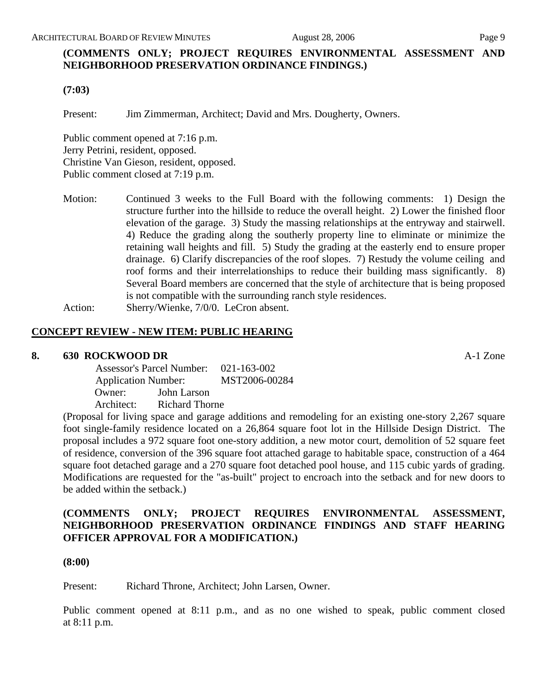# **(COMMENTS ONLY; PROJECT REQUIRES ENVIRONMENTAL ASSESSMENT AND NEIGHBORHOOD PRESERVATION ORDINANCE FINDINGS.)**

**(7:03)**

Present: Jim Zimmerman, Architect; David and Mrs. Dougherty, Owners.

Public comment opened at 7:16 p.m. Jerry Petrini, resident, opposed. Christine Van Gieson, resident, opposed. Public comment closed at 7:19 p.m.

Motion: Continued 3 weeks to the Full Board with the following comments: 1) Design the structure further into the hillside to reduce the overall height. 2) Lower the finished floor elevation of the garage. 3) Study the massing relationships at the entryway and stairwell. 4) Reduce the grading along the southerly property line to eliminate or minimize the retaining wall heights and fill. 5) Study the grading at the easterly end to ensure proper drainage. 6) Clarify discrepancies of the roof slopes. 7) Restudy the volume ceiling and roof forms and their interrelationships to reduce their building mass significantly. 8) Several Board members are concerned that the style of architecture that is being proposed is not compatible with the surrounding ranch style residences. Action: Sherry/Wienke, 7/0/0. LeCron absent.

#### **CONCEPT REVIEW - NEW ITEM: PUBLIC HEARING**

#### **8. 630 ROCKWOOD DR** A-1 Zone

|            | Assessor's Parcel Number: 021-163-002 |  |
|------------|---------------------------------------|--|
|            | <b>Application Number:</b>            |  |
| Owner:     | John Larson                           |  |
| Architect: | Richard Thorne                        |  |

(Proposal for living space and garage additions and remodeling for an existing one-story 2,267 square foot single-family residence located on a 26,864 square foot lot in the Hillside Design District. The proposal includes a 972 square foot one-story addition, a new motor court, demolition of 52 square feet of residence, conversion of the 396 square foot attached garage to habitable space, construction of a 464 square foot detached garage and a 270 square foot detached pool house, and 115 cubic yards of grading. Modifications are requested for the "as-built" project to encroach into the setback and for new doors to be added within the setback.)

#### **(COMMENTS ONLY; PROJECT REQUIRES ENVIRONMENTAL ASSESSMENT, NEIGHBORHOOD PRESERVATION ORDINANCE FINDINGS AND STAFF HEARING OFFICER APPROVAL FOR A MODIFICATION.)**

#### **(8:00)**

Present: Richard Throne, Architect; John Larsen, Owner.

Public comment opened at 8:11 p.m., and as no one wished to speak, public comment closed at 8:11 p.m.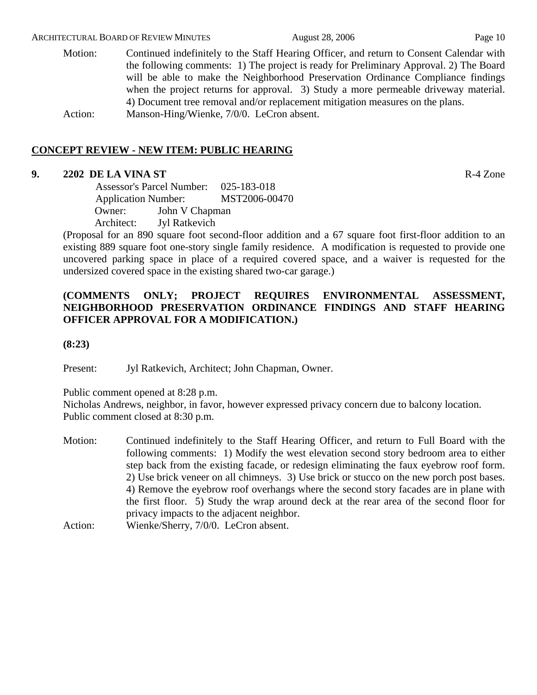#### ARCHITECTURAL BOARD OF REVIEW MINUTES August 28, 2006 August 28, 2006

Motion: Continued indefinitely to the Staff Hearing Officer, and return to Consent Calendar with the following comments: 1) The project is ready for Preliminary Approval. 2) The Board will be able to make the Neighborhood Preservation Ordinance Compliance findings when the project returns for approval. 3) Study a more permeable driveway material. 4) Document tree removal and/or replacement mitigation measures on the plans. Action: Manson-Hing/Wienke, 7/0/0. LeCron absent.

#### **CONCEPT REVIEW - NEW ITEM: PUBLIC HEARING**

#### **9. 2202 DE LA VINA ST** R-4 Zone

 Assessor's Parcel Number: 025-183-018 Application Number: MST2006-00470 Owner: John V Chapman Architect: Jyl Ratkevich

(Proposal for an 890 square foot second-floor addition and a 67 square foot first-floor addition to an existing 889 square foot one-story single family residence. A modification is requested to provide one uncovered parking space in place of a required covered space, and a waiver is requested for the undersized covered space in the existing shared two-car garage.)

# **(COMMENTS ONLY; PROJECT REQUIRES ENVIRONMENTAL ASSESSMENT, NEIGHBORHOOD PRESERVATION ORDINANCE FINDINGS AND STAFF HEARING OFFICER APPROVAL FOR A MODIFICATION.)**

**(8:23)**

Present: Jyl Ratkevich, Architect; John Chapman, Owner.

Public comment opened at 8:28 p.m.

Nicholas Andrews, neighbor, in favor, however expressed privacy concern due to balcony location. Public comment closed at 8:30 p.m.

Motion: Continued indefinitely to the Staff Hearing Officer, and return to Full Board with the following comments: 1) Modify the west elevation second story bedroom area to either step back from the existing facade, or redesign eliminating the faux eyebrow roof form. 2) Use brick veneer on all chimneys. 3) Use brick or stucco on the new porch post bases. 4) Remove the eyebrow roof overhangs where the second story facades are in plane with the first floor. 5) Study the wrap around deck at the rear area of the second floor for privacy impacts to the adjacent neighbor.

Action: Wienke/Sherry, 7/0/0. LeCron absent.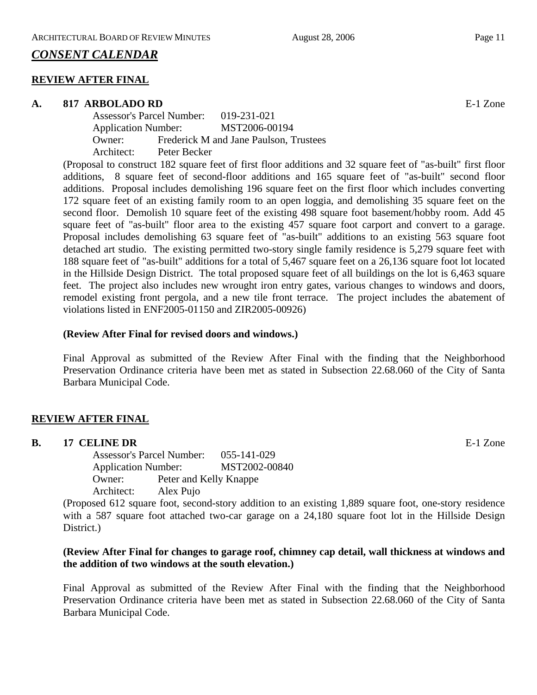# *CONSENT CALENDAR*

#### **REVIEW AFTER FINAL**

#### **A. 817 ARBOLADO RD** E-1 Zone

Assessor's Parcel Number: 019-231-021 Application Number: MST2006-00194 Owner: Frederick M and Jane Paulson, Trustees Architect: Peter Becker

(Proposal to construct 182 square feet of first floor additions and 32 square feet of "as-built" first floor additions, 8 square feet of second-floor additions and 165 square feet of "as-built" second floor additions. Proposal includes demolishing 196 square feet on the first floor which includes converting 172 square feet of an existing family room to an open loggia, and demolishing 35 square feet on the second floor. Demolish 10 square feet of the existing 498 square foot basement/hobby room. Add 45 square feet of "as-built" floor area to the existing 457 square foot carport and convert to a garage. Proposal includes demolishing 63 square feet of "as-built" additions to an existing 563 square foot detached art studio. The existing permitted two-story single family residence is 5,279 square feet with 188 square feet of "as-built" additions for a total of 5,467 square feet on a 26,136 square foot lot located in the Hillside Design District. The total proposed square feet of all buildings on the lot is 6,463 square feet. The project also includes new wrought iron entry gates, various changes to windows and doors, remodel existing front pergola, and a new tile front terrace. The project includes the abatement of violations listed in ENF2005-01150 and ZIR2005-00926)

#### **(Review After Final for revised doors and windows.)**

Final Approval as submitted of the Review After Final with the finding that the Neighborhood Preservation Ordinance criteria have been met as stated in Subsection 22.68.060 of the City of Santa Barbara Municipal Code.

# **REVIEW AFTER FINAL**

#### **B.** 17 CELINE DR **E-1** Zone

Assessor's Parcel Number: 055-141-029 Application Number: MST2002-00840 Owner: Peter and Kelly Knappe Architect: Alex Pujo

(Proposed 612 square foot, second-story addition to an existing 1,889 square foot, one-story residence with a 587 square foot attached two-car garage on a 24,180 square foot lot in the Hillside Design District.)

#### **(Review After Final for changes to garage roof, chimney cap detail, wall thickness at windows and the addition of two windows at the south elevation.)**

Final Approval as submitted of the Review After Final with the finding that the Neighborhood Preservation Ordinance criteria have been met as stated in Subsection 22.68.060 of the City of Santa Barbara Municipal Code.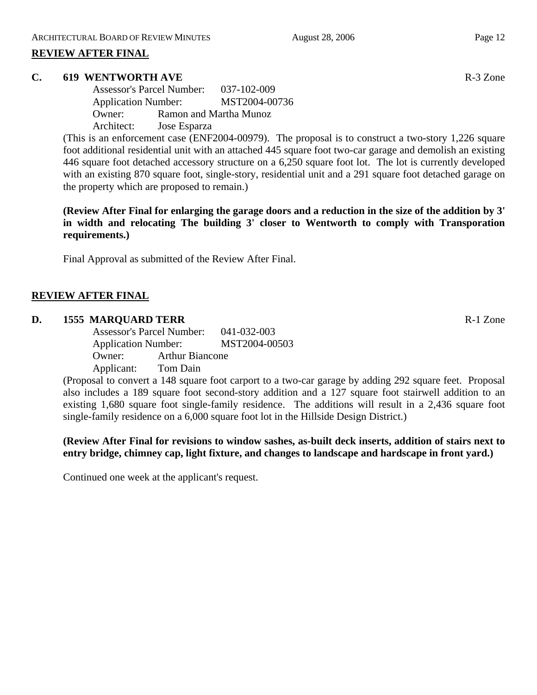# **REVIEW AFTER FINAL**

#### **C.** 619 WENTWORTH AVE **R**-3 Zone

Assessor's Parcel Number: 037-102-009 Application Number: MST2004-00736 Owner: Ramon and Martha Munoz Architect: Jose Esparza

(This is an enforcement case (ENF2004-00979). The proposal is to construct a two-story 1,226 square foot additional residential unit with an attached 445 square foot two-car garage and demolish an existing 446 square foot detached accessory structure on a 6,250 square foot lot. The lot is currently developed with an existing 870 square foot, single-story, residential unit and a 291 square foot detached garage on the property which are proposed to remain.)

**(Review After Final for enlarging the garage doors and a reduction in the size of the addition by 3' in width and relocating The building 3' closer to Wentworth to comply with Transporation requirements.)**

Final Approval as submitted of the Review After Final.

# **REVIEW AFTER FINAL**

# **D. 1555 MARQUARD TERR** R-1 Zone

Assessor's Parcel Number: 041-032-003 Application Number: MST2004-00503 Owner: Arthur Biancone Applicant: Tom Dain

(Proposal to convert a 148 square foot carport to a two-car garage by adding 292 square feet. Proposal also includes a 189 square foot second-story addition and a 127 square foot stairwell addition to an existing 1,680 square foot single-family residence. The additions will result in a 2,436 square foot single-family residence on a 6,000 square foot lot in the Hillside Design District.)

**(Review After Final for revisions to window sashes, as-built deck inserts, addition of stairs next to entry bridge, chimney cap, light fixture, and changes to landscape and hardscape in front yard.)**

Continued one week at the applicant's request.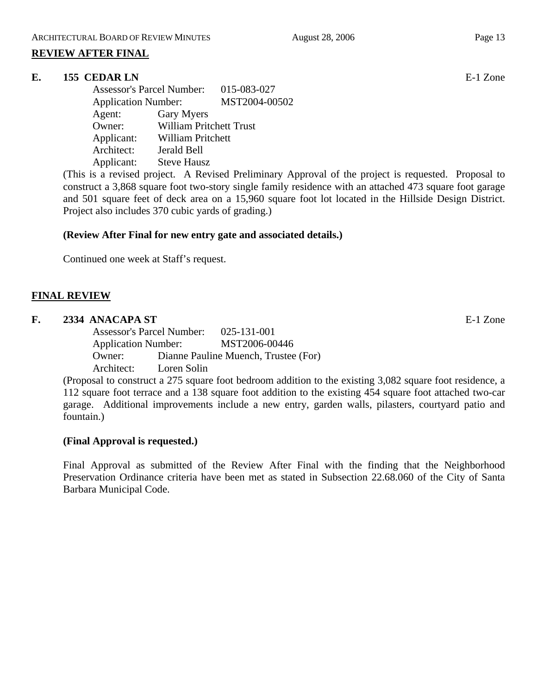# **REVIEW AFTER FINAL**

#### **E.** 155 CEDAR LN **E-1** Zone

Assessor's Parcel Number: 015-083-027 Application Number: MST2004-00502 Agent: Gary Myers Owner: William Pritchett Trust Applicant: William Pritchett Architect: Jerald Bell Applicant: Steve Hausz

(This is a revised project. A Revised Preliminary Approval of the project is requested. Proposal to construct a 3,868 square foot two-story single family residence with an attached 473 square foot garage and 501 square feet of deck area on a 15,960 square foot lot located in the Hillside Design District. Project also includes 370 cubic yards of grading.)

# **(Review After Final for new entry gate and associated details.)**

Continued one week at Staff's request.

# **FINAL REVIEW**

#### **F. 2334 ANACAPA ST** E-1 Zone

Assessor's Parcel Number: 025-131-001 Application Number: MST2006-00446 Owner: Dianne Pauline Muench, Trustee (For) Architect: Loren Solin

(Proposal to construct a 275 square foot bedroom addition to the existing 3,082 square foot residence, a 112 square foot terrace and a 138 square foot addition to the existing 454 square foot attached two-car garage. Additional improvements include a new entry, garden walls, pilasters, courtyard patio and fountain.)

#### **(Final Approval is requested.)**

Final Approval as submitted of the Review After Final with the finding that the Neighborhood Preservation Ordinance criteria have been met as stated in Subsection 22.68.060 of the City of Santa Barbara Municipal Code.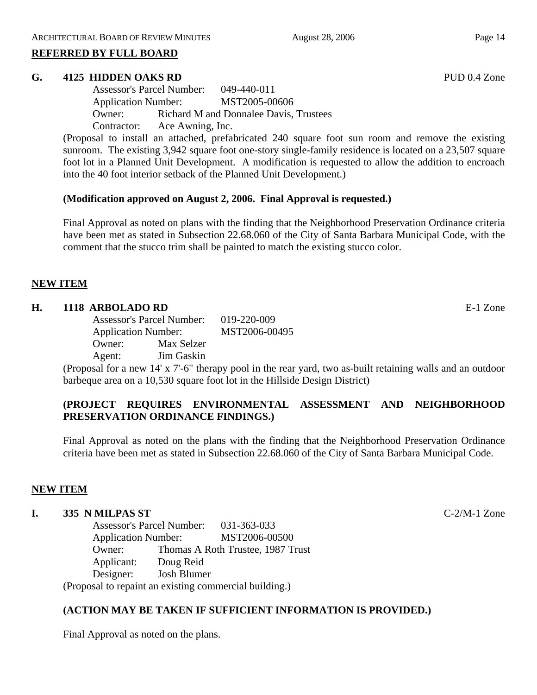#### **REFERRED BY FULL BOARD**

#### **G. 4125 HIDDEN OAKS RD** PUD 0.4 Zone

Assessor's Parcel Number: 049-440-011 Application Number: MST2005-00606 Owner: Richard M and Donnalee Davis, Trustees Contractor: Ace Awning, Inc.

(Proposal to install an attached, prefabricated 240 square foot sun room and remove the existing sunroom. The existing 3,942 square foot one-story single-family residence is located on a 23,507 square foot lot in a Planned Unit Development. A modification is requested to allow the addition to encroach into the 40 foot interior setback of the Planned Unit Development.)

#### **(Modification approved on August 2, 2006. Final Approval is requested.)**

Final Approval as noted on plans with the finding that the Neighborhood Preservation Ordinance criteria have been met as stated in Subsection 22.68.060 of the City of Santa Barbara Municipal Code, with the comment that the stucco trim shall be painted to match the existing stucco color.

#### **NEW ITEM**

# **H. 1118 ARBOLADO RD** E-1 Zone

Assessor's Parcel Number: 019-220-009 Application Number: MST2006-00495 Owner: Max Selzer Agent: Jim Gaskin

(Proposal for a new 14' x 7'-6" therapy pool in the rear yard, two as-built retaining walls and an outdoor barbeque area on a 10,530 square foot lot in the Hillside Design District)

#### **(PROJECT REQUIRES ENVIRONMENTAL ASSESSMENT AND NEIGHBORHOOD PRESERVATION ORDINANCE FINDINGS.)**

Final Approval as noted on the plans with the finding that the Neighborhood Preservation Ordinance criteria have been met as stated in Subsection 22.68.060 of the City of Santa Barbara Municipal Code.

#### **NEW ITEM**

# **I. 335 N MILPAS ST** C-2/M-1 Zone

Assessor's Parcel Number: 031-363-033 Application Number: MST2006-00500 Owner: Thomas A Roth Trustee, 1987 Trust Applicant: Doug Reid Designer: Josh Blumer (Proposal to repaint an existing commercial building.)

#### **(ACTION MAY BE TAKEN IF SUFFICIENT INFORMATION IS PROVIDED.)**

Final Approval as noted on the plans.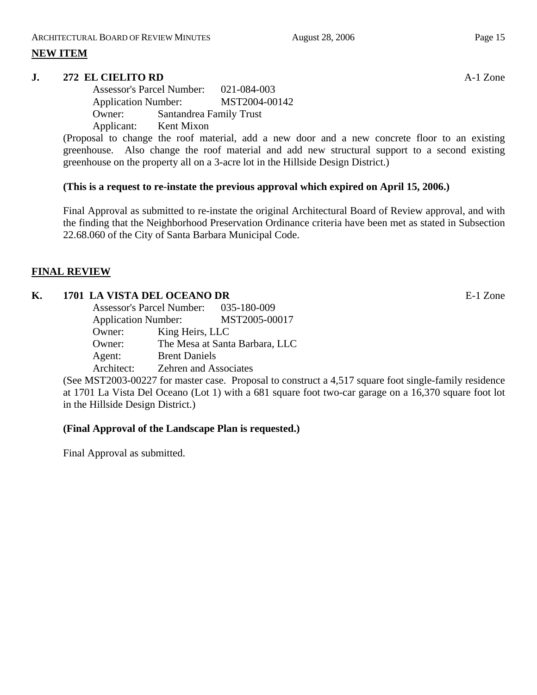# **NEW ITEM**

# **J. 272 EL CIELITO RD** A-1 Zone

Assessor's Parcel Number: 021-084-003 Application Number: MST2004-00142 Owner: Santandrea Family Trust Applicant: Kent Mixon

(Proposal to change the roof material, add a new door and a new concrete floor to an existing greenhouse. Also change the roof material and add new structural support to a second existing greenhouse on the property all on a 3-acre lot in the Hillside Design District.)

# **(This is a request to re-instate the previous approval which expired on April 15, 2006.)**

Final Approval as submitted to re-instate the original Architectural Board of Review approval, and with the finding that the Neighborhood Preservation Ordinance criteria have been met as stated in Subsection 22.68.060 of the City of Santa Barbara Municipal Code.

# **FINAL REVIEW**

# **K. 1701 LA VISTA DEL OCEANO DR** E-1 Zone

Assessor's Parcel Number: 035-180-009 Application Number: MST2005-00017 Owner: King Heirs, LLC Owner: The Mesa at Santa Barbara, LLC Agent: Brent Daniels Architect: Zehren and Associates

(See MST2003-00227 for master case. Proposal to construct a 4,517 square foot single-family residence at 1701 La Vista Del Oceano (Lot 1) with a 681 square foot two-car garage on a 16,370 square foot lot in the Hillside Design District.)

#### **(Final Approval of the Landscape Plan is requested.)**

Final Approval as submitted.